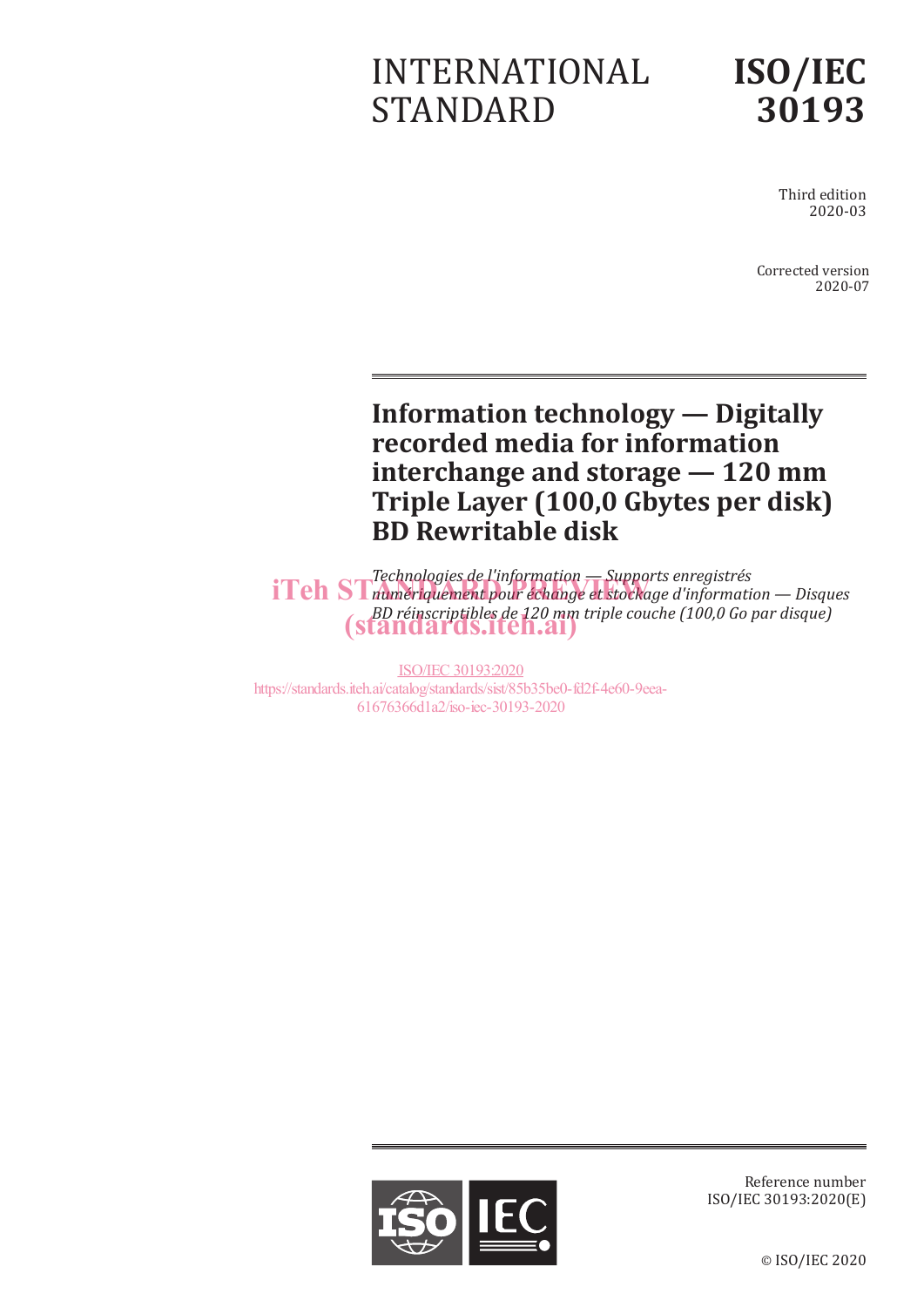# INTERNATIONAL STANDARD

# **ISO/IEC 30193**

Third edition 2020-03

Corrected version 2020-07

# **Information technology — Digitally recorded media for information interchange and storage — 120 mm Triple Layer (100,0 Gbytes per disk) BD Rewritable disk**

*Technologies de l'information — Supports enregistrés*  iTeh ST numériquement pour échange et stockage d'information — Disques *BD réinscriptibles de 120 mm triple couche (100,0 Go par disque)* (standards.iteh.ai)

ISO/IEC 30193:2020 https://standards.iteh.ai/catalog/standards/sist/85b35be0-fd2f-4e60-9eea-61676366d1a2/iso-iec-30193-2020



Reference number ISO/IEC 30193:2020(E)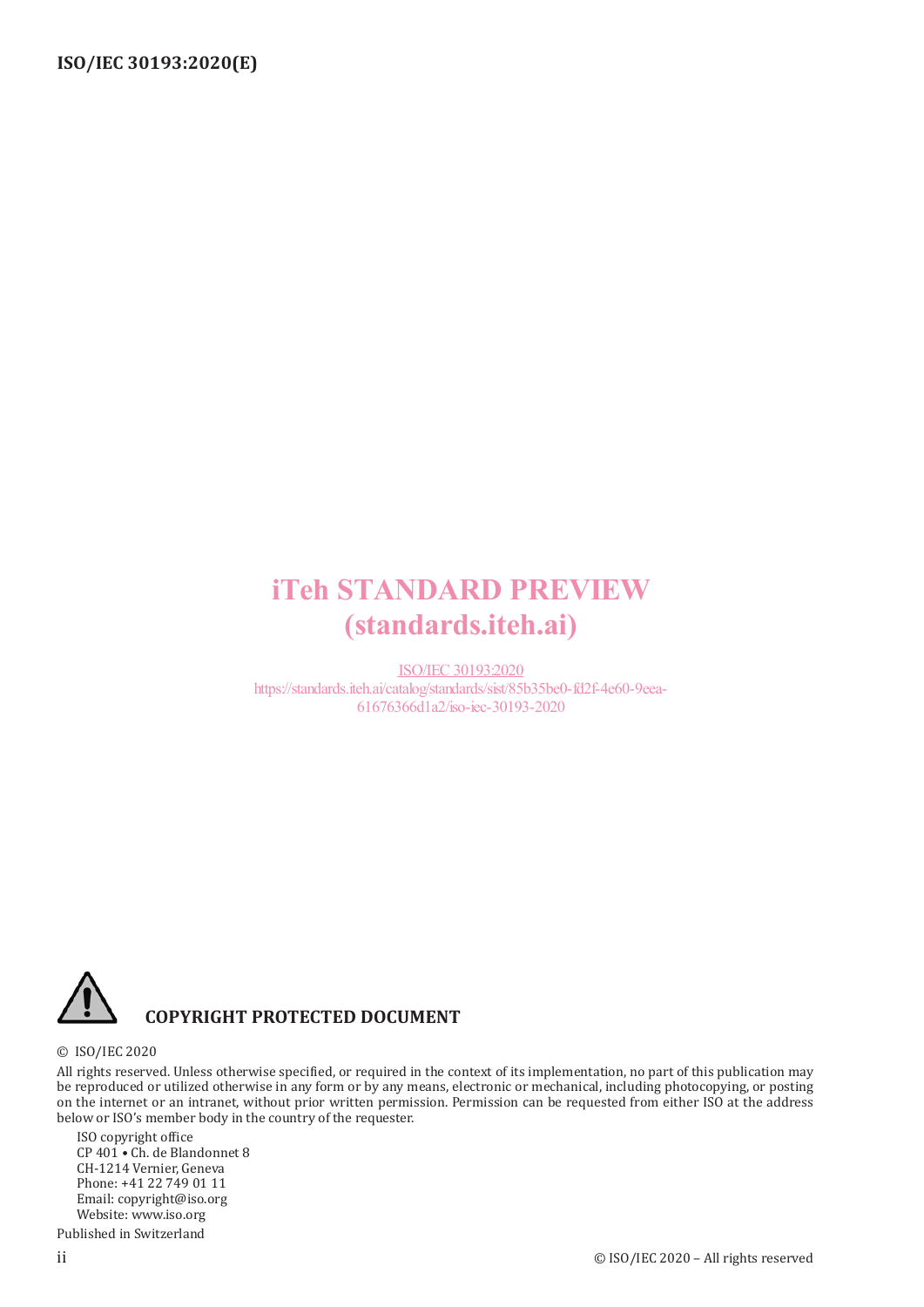# iTeh STANDARD PREVIEW (standards.iteh.ai)

ISO/IEC 30193:2020 https://standards.iteh.ai/catalog/standards/sist/85b35be0-fd2f-4e60-9eea-61676366d1a2/iso-iec-30193-2020



## **COPYRIGHT PROTECTED DOCUMENT**

#### © ISO/IEC 2020

All rights reserved. Unless otherwise specified, or required in the context of its implementation, no part of this publication may be reproduced or utilized otherwise in any form or by any means, electronic or mechanical, including photocopying, or posting on the internet or an intranet, without prior written permission. Permission can be requested from either ISO at the address below or ISO's member body in the country of the requester.

ISO copyright office CP 401 • Ch. de Blandonnet 8 CH-1214 Vernier, Geneva Phone: +41 22 749 01 11 Email: copyright@iso.org Website: www.iso.org

Published in Switzerland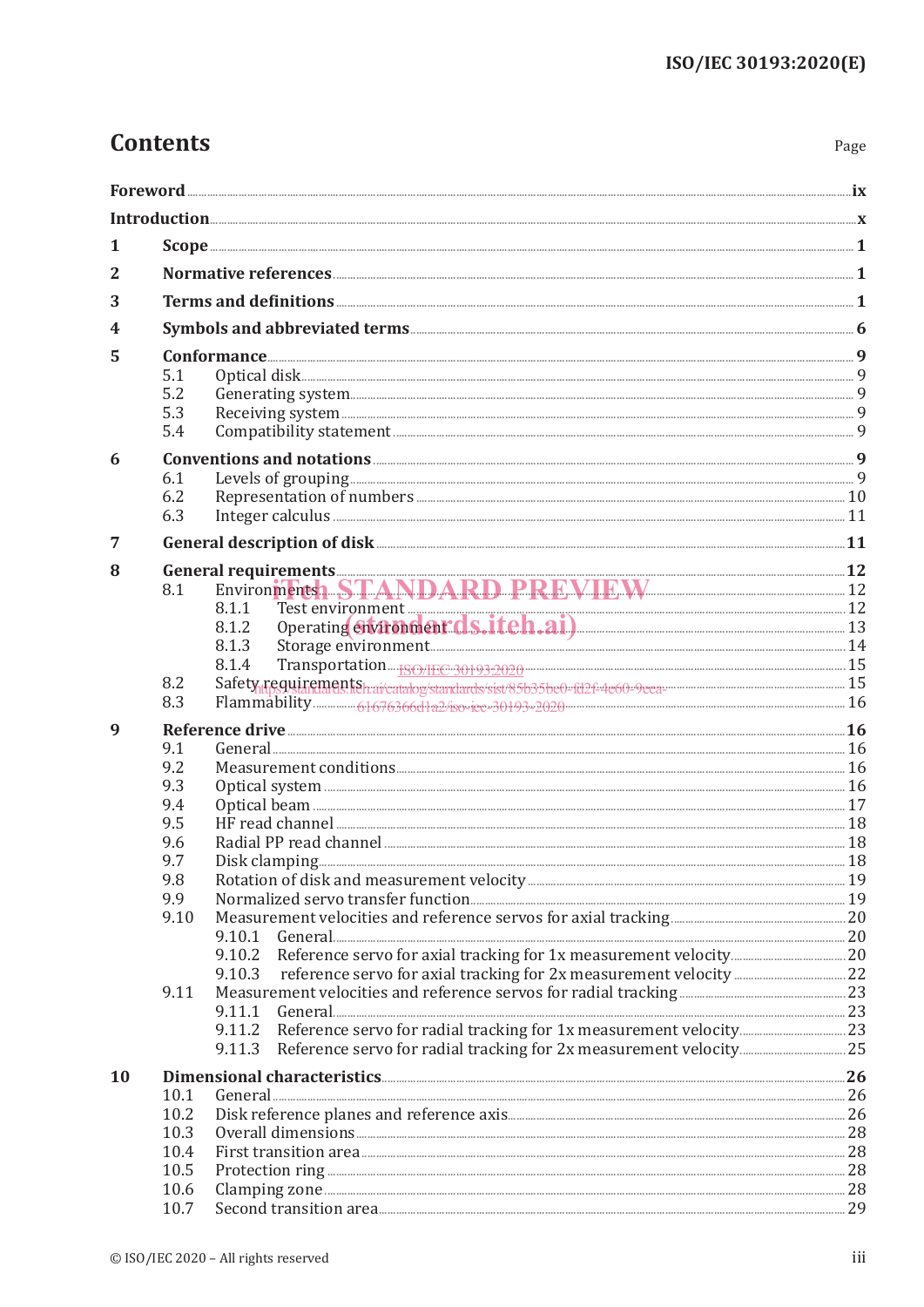| ×<br>×<br>۰, |
|--------------|
|--------------|

| 1         |            |                                                                                                                                                                                                                                     |  |
|-----------|------------|-------------------------------------------------------------------------------------------------------------------------------------------------------------------------------------------------------------------------------------|--|
| 2         |            |                                                                                                                                                                                                                                     |  |
| 3         |            |                                                                                                                                                                                                                                     |  |
|           |            |                                                                                                                                                                                                                                     |  |
| 4         |            |                                                                                                                                                                                                                                     |  |
| 5         | 5.1        |                                                                                                                                                                                                                                     |  |
|           | 5.2        |                                                                                                                                                                                                                                     |  |
|           | 5.3        |                                                                                                                                                                                                                                     |  |
|           | 5.4        |                                                                                                                                                                                                                                     |  |
| 6         |            | Conventions and notations <b>Executions</b> 9                                                                                                                                                                                       |  |
|           | 6.1<br>6.2 |                                                                                                                                                                                                                                     |  |
|           | 6.3        |                                                                                                                                                                                                                                     |  |
| 7         |            | General description of disk 11                                                                                                                                                                                                      |  |
|           |            |                                                                                                                                                                                                                                     |  |
| 8         | 8.1        | General requirements 12<br>Environments STANDARD PREMIENT                                                                                                                                                                           |  |
|           |            | 8.1.1                                                                                                                                                                                                                               |  |
|           |            | 8.1.2                                                                                                                                                                                                                               |  |
|           |            | Test environment<br>Operating environment<br>Storage environment<br>14<br>8.1.3                                                                                                                                                     |  |
|           |            | 8.1.4                                                                                                                                                                                                                               |  |
|           | 8.2        |                                                                                                                                                                                                                                     |  |
|           | 8.3        |                                                                                                                                                                                                                                     |  |
| 9         |            | Reference drive <b>Material According to the Contract Office</b> of the Material According to the Material According to the Material According to the Material According to the Material According to the Material According to the |  |
|           | 9.1        |                                                                                                                                                                                                                                     |  |
|           | 9.2        |                                                                                                                                                                                                                                     |  |
|           | 9.3        |                                                                                                                                                                                                                                     |  |
|           | 9.4        |                                                                                                                                                                                                                                     |  |
|           | 9.5<br>9.6 |                                                                                                                                                                                                                                     |  |
|           | 9.7        |                                                                                                                                                                                                                                     |  |
|           | 9.8        |                                                                                                                                                                                                                                     |  |
|           | 9.9        |                                                                                                                                                                                                                                     |  |
|           | 9.10       |                                                                                                                                                                                                                                     |  |
|           |            |                                                                                                                                                                                                                                     |  |
|           |            | 9.10.2                                                                                                                                                                                                                              |  |
|           |            | 9.10.3                                                                                                                                                                                                                              |  |
|           | 9.11       |                                                                                                                                                                                                                                     |  |
|           |            | 9.11.1<br>9.11.2                                                                                                                                                                                                                    |  |
|           |            | 9.11.3                                                                                                                                                                                                                              |  |
|           |            |                                                                                                                                                                                                                                     |  |
| <b>10</b> | 10.1       | General 26                                                                                                                                                                                                                          |  |
|           | 10.2       |                                                                                                                                                                                                                                     |  |
|           | 10.3       |                                                                                                                                                                                                                                     |  |
|           | 10.4       |                                                                                                                                                                                                                                     |  |
|           | 10.5       | Protection ring 28                                                                                                                                                                                                                  |  |
|           | 10.6       |                                                                                                                                                                                                                                     |  |
|           | 10.7       |                                                                                                                                                                                                                                     |  |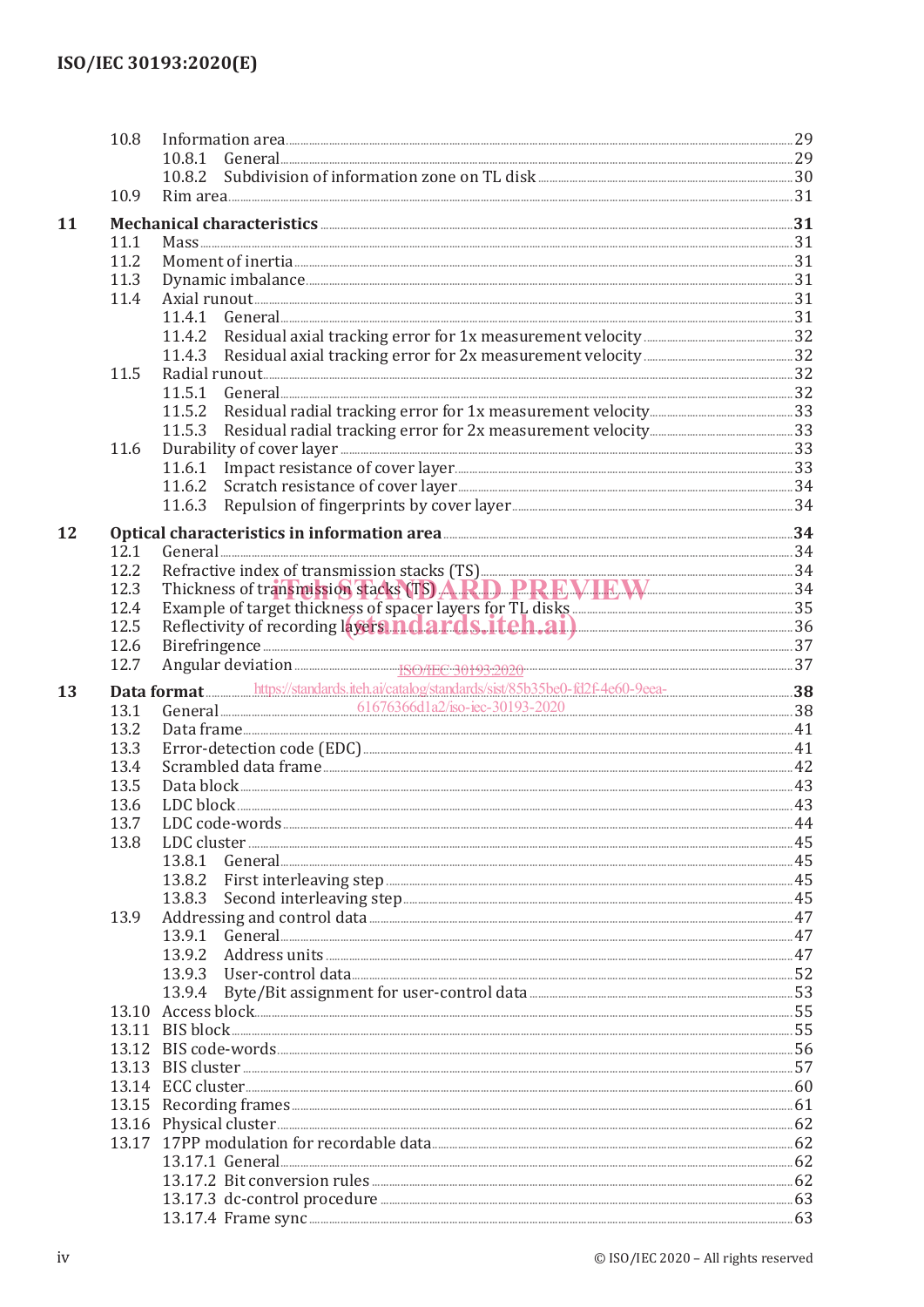|    | 10.8 |                                                                                                                                            |  |
|----|------|--------------------------------------------------------------------------------------------------------------------------------------------|--|
|    |      | 10.8.1                                                                                                                                     |  |
|    |      |                                                                                                                                            |  |
|    | 10.9 |                                                                                                                                            |  |
| 11 |      |                                                                                                                                            |  |
|    | 11.1 |                                                                                                                                            |  |
|    | 11.2 |                                                                                                                                            |  |
|    | 11.3 |                                                                                                                                            |  |
|    | 11.4 |                                                                                                                                            |  |
|    |      |                                                                                                                                            |  |
|    |      |                                                                                                                                            |  |
|    |      |                                                                                                                                            |  |
|    | 11.5 |                                                                                                                                            |  |
|    |      | 11.5.1 General 22 32                                                                                                                       |  |
|    |      |                                                                                                                                            |  |
|    |      | 11.5.3                                                                                                                                     |  |
|    | 11.6 |                                                                                                                                            |  |
|    |      | 11.6.1                                                                                                                                     |  |
|    |      | 11.6.2                                                                                                                                     |  |
|    |      | 11.6.3                                                                                                                                     |  |
|    |      |                                                                                                                                            |  |
| 12 |      | Optical characteristics in information area                                                                                                |  |
|    | 12.1 |                                                                                                                                            |  |
|    | 12.2 | Refractive index of transmission stacks (TS)<br>Thickness of transmission stacks (TS) A.R.D. P.R.L.V. R.W. 2000 34                         |  |
|    | 12.3 |                                                                                                                                            |  |
|    | 12.4 | Example of target thickness of spacer layers for TL disks <b>Constanting the Stample of target thickness</b> of spacer layers for TL disks |  |
|    | 12.5 | Reflectivity of recording laveral ndards.itch.ai) Reflectivity of recording laveral ndards.itch.ai                                         |  |
|    | 12.6 |                                                                                                                                            |  |
|    | 12.7 |                                                                                                                                            |  |
|    |      |                                                                                                                                            |  |
| 13 |      |                                                                                                                                            |  |
|    | 13.1 |                                                                                                                                            |  |
|    | 13.2 |                                                                                                                                            |  |
|    | 13.3 |                                                                                                                                            |  |
|    | 13.4 |                                                                                                                                            |  |
|    | 13.5 | Data block 43                                                                                                                              |  |
|    | 13.6 |                                                                                                                                            |  |
|    | 13.7 |                                                                                                                                            |  |
|    | 13.8 |                                                                                                                                            |  |
|    |      | General 45 and 45<br>13.8.1                                                                                                                |  |
|    |      |                                                                                                                                            |  |
|    |      | 13.8.3 Second interleaving step <b>Election Constructs</b> 45                                                                              |  |
|    | 13.9 |                                                                                                                                            |  |
|    |      | 13.9.1                                                                                                                                     |  |
|    |      |                                                                                                                                            |  |
|    |      |                                                                                                                                            |  |
|    |      |                                                                                                                                            |  |
|    |      |                                                                                                                                            |  |
|    |      |                                                                                                                                            |  |
|    |      |                                                                                                                                            |  |
|    |      |                                                                                                                                            |  |
|    |      |                                                                                                                                            |  |
|    |      |                                                                                                                                            |  |
|    |      | 13.16 Physical cluster 52                                                                                                                  |  |
|    |      |                                                                                                                                            |  |
|    |      |                                                                                                                                            |  |
|    |      | 13.17.2 Bit conversion rules <b>CONVERGENT CONTROL</b> EXAMPLE 2                                                                           |  |
|    |      | 13.17.3 dc-control procedure <b>Election Control</b> extent 63                                                                             |  |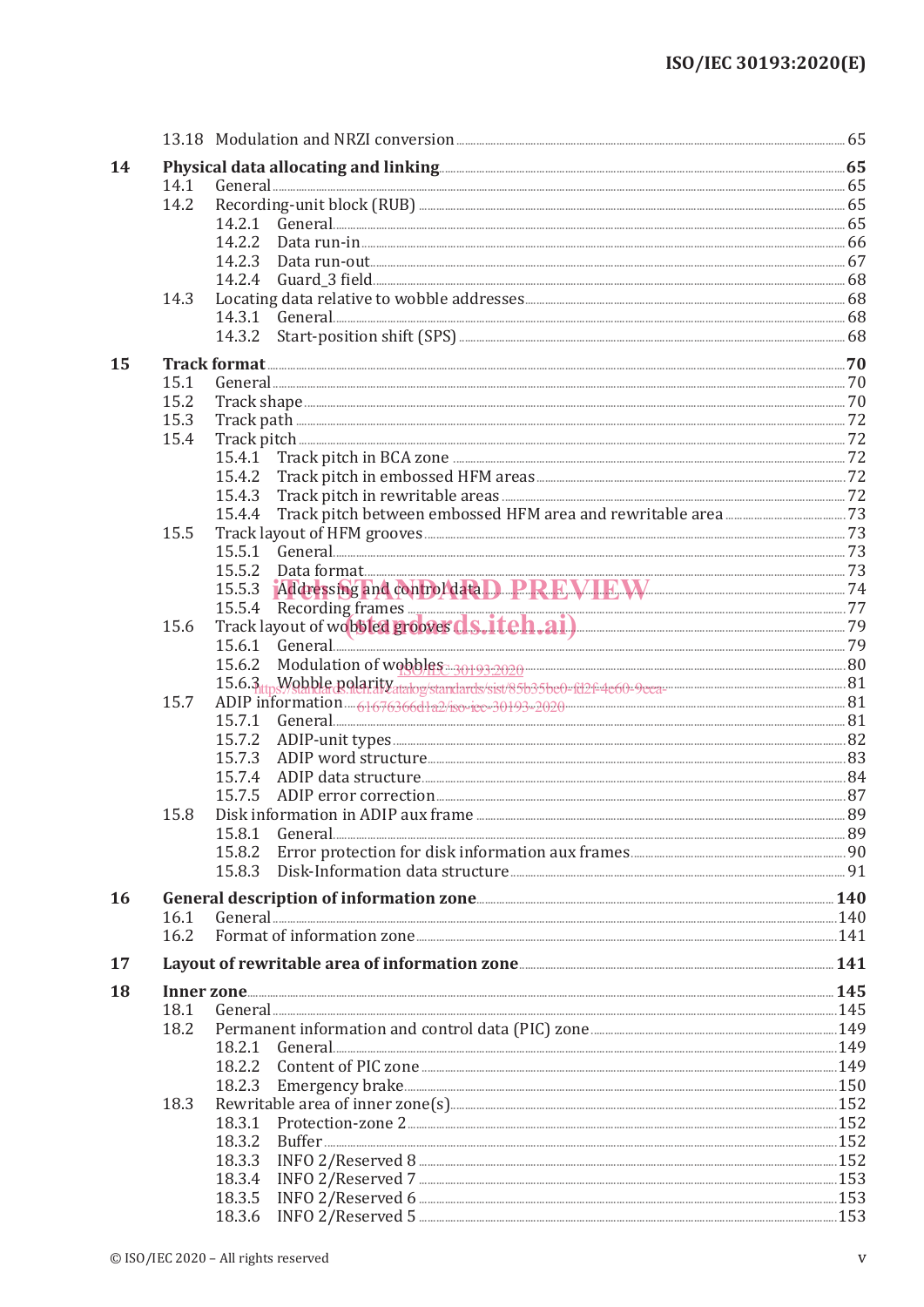| 14 |              |                                                                                        |  |
|----|--------------|----------------------------------------------------------------------------------------|--|
|    | 14.1         |                                                                                        |  |
|    | 14.2         |                                                                                        |  |
|    |              |                                                                                        |  |
|    |              | 14.2.2                                                                                 |  |
|    |              | 14.2.3                                                                                 |  |
|    | 14.3         |                                                                                        |  |
|    |              |                                                                                        |  |
|    |              | 14.3.2                                                                                 |  |
|    |              |                                                                                        |  |
| 15 |              |                                                                                        |  |
|    | 15.1         |                                                                                        |  |
|    | 15.2         |                                                                                        |  |
|    | 15.3<br>15.4 |                                                                                        |  |
|    |              |                                                                                        |  |
|    |              |                                                                                        |  |
|    |              | 15.4.3                                                                                 |  |
|    |              | 15.4.4                                                                                 |  |
|    | 15.5         |                                                                                        |  |
|    |              |                                                                                        |  |
|    |              | 15.5.2                                                                                 |  |
|    |              | Data format 73<br>Addressing and control data D PREVIEW 74<br>15.5.3                   |  |
|    |              |                                                                                        |  |
|    | 15.6         | 15.5.4 Recording frames 77<br>Track layout of wobbled grobus ds.iteh.ai) 79            |  |
|    |              | 15.6.1                                                                                 |  |
|    |              | 15.6.2                                                                                 |  |
|    |              |                                                                                        |  |
|    | 15.7         |                                                                                        |  |
|    |              | 15.7.1                                                                                 |  |
|    |              | 15.7.2                                                                                 |  |
|    |              | 15.7.3<br>15.7.4                                                                       |  |
|    |              | 15.7.5                                                                                 |  |
|    | 15.8         | Disk information in ADIP aux frame <b>Exercise and Service Contract and Service</b> 89 |  |
|    |              | 15.8.1                                                                                 |  |
|    |              | 15.8.2                                                                                 |  |
|    |              | 15.8.3                                                                                 |  |
|    |              |                                                                                        |  |
| 16 | 16.1         |                                                                                        |  |
|    | 16.2         |                                                                                        |  |
|    |              |                                                                                        |  |
| 17 |              |                                                                                        |  |
| 18 |              |                                                                                        |  |
|    | 18.1         |                                                                                        |  |
|    | 18.2         |                                                                                        |  |
|    |              | General 149<br>18.2.1                                                                  |  |
|    |              | 18.2.2                                                                                 |  |
|    |              | 18.2.3                                                                                 |  |
|    | 18.3         | Protection-zone 2<br>18.3.1                                                            |  |
|    |              | 18.3.2                                                                                 |  |
|    |              | 18.3.3                                                                                 |  |
|    |              | 18.3.4                                                                                 |  |
|    |              | 18.3.5                                                                                 |  |
|    |              | 18.3.6                                                                                 |  |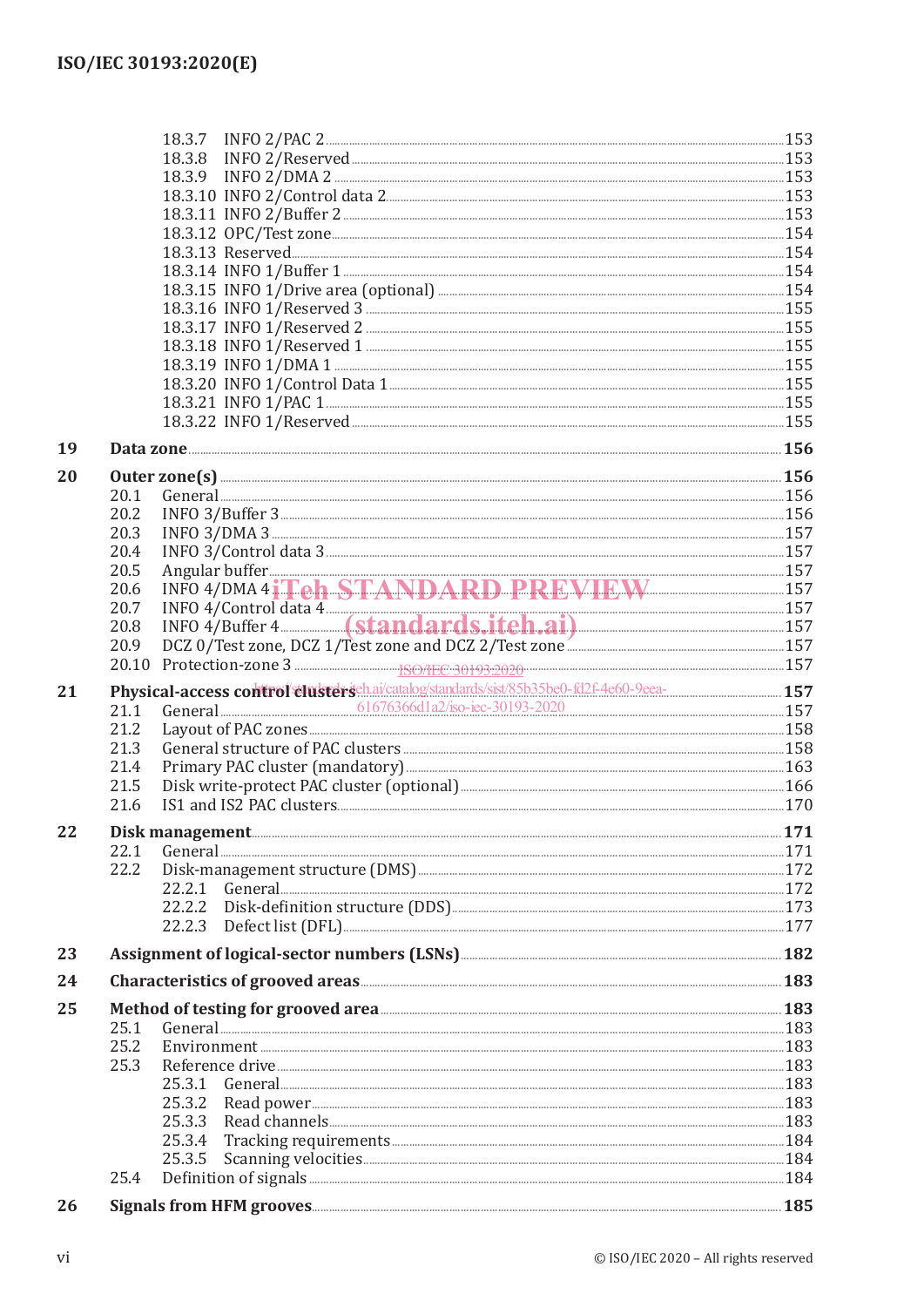|    |       | 18.3.7 INFO 2/PAC 2                                                                                                                                                                                                                  |  |
|----|-------|--------------------------------------------------------------------------------------------------------------------------------------------------------------------------------------------------------------------------------------|--|
|    |       | 18.3.8                                                                                                                                                                                                                               |  |
|    |       |                                                                                                                                                                                                                                      |  |
|    |       |                                                                                                                                                                                                                                      |  |
|    |       |                                                                                                                                                                                                                                      |  |
|    |       |                                                                                                                                                                                                                                      |  |
|    |       |                                                                                                                                                                                                                                      |  |
|    |       |                                                                                                                                                                                                                                      |  |
|    |       |                                                                                                                                                                                                                                      |  |
|    |       |                                                                                                                                                                                                                                      |  |
|    |       |                                                                                                                                                                                                                                      |  |
|    |       |                                                                                                                                                                                                                                      |  |
|    |       |                                                                                                                                                                                                                                      |  |
|    |       |                                                                                                                                                                                                                                      |  |
|    |       |                                                                                                                                                                                                                                      |  |
|    |       |                                                                                                                                                                                                                                      |  |
| 19 |       | Data zone <u>2008 and 2010 and 2010 and 2010 and 2010 and 2010 and 2010 and 2010 and 2010 and 2010 and 2010 and 2010 and 2010 and 2010 and 2010 and 2010 and 2010 and 2010 and 2010 and 2010 and 2010 and 2010 and 2010 and 2010</u> |  |
| 20 |       | Outer zone(s) <b>Marine 2014</b> 156                                                                                                                                                                                                 |  |
|    | 20.1  | General 256                                                                                                                                                                                                                          |  |
|    | 20.2  |                                                                                                                                                                                                                                      |  |
|    | 20.3  |                                                                                                                                                                                                                                      |  |
|    | 20.4  |                                                                                                                                                                                                                                      |  |
|    | 20.5  |                                                                                                                                                                                                                                      |  |
|    | 20.6  |                                                                                                                                                                                                                                      |  |
|    | 20.7  |                                                                                                                                                                                                                                      |  |
|    | 20.8  | INFO 4/Control data 4 57                                                                                                                                                                                                             |  |
|    | 20.9  |                                                                                                                                                                                                                                      |  |
|    | 20.10 |                                                                                                                                                                                                                                      |  |
| 21 |       | Physical-access control cluster sch.ai/catalog/standards/sist/85b35be0-fd2f-4e60-9eea-                                                                                                                                               |  |
|    | 21.1  |                                                                                                                                                                                                                                      |  |
|    | 21.2  |                                                                                                                                                                                                                                      |  |
|    | 21.3  |                                                                                                                                                                                                                                      |  |
|    | 21.4  | Primary PAC cluster (mandatory) <b>Manual Equation Control</b> 263                                                                                                                                                                   |  |
|    | 21.5  |                                                                                                                                                                                                                                      |  |
|    | 21.6  |                                                                                                                                                                                                                                      |  |
|    |       |                                                                                                                                                                                                                                      |  |
| 22 |       | Disk management 171                                                                                                                                                                                                                  |  |
|    | 22.1  |                                                                                                                                                                                                                                      |  |
|    | 22.2  |                                                                                                                                                                                                                                      |  |
|    |       | 22.2.1 General 172                                                                                                                                                                                                                   |  |
|    |       | 22.2.3                                                                                                                                                                                                                               |  |
|    |       |                                                                                                                                                                                                                                      |  |
| 23 |       | Assignment of logical-sector numbers (LSNs) <b>Manufation and Section</b> 182                                                                                                                                                        |  |
| 24 |       |                                                                                                                                                                                                                                      |  |
|    |       |                                                                                                                                                                                                                                      |  |
| 25 |       |                                                                                                                                                                                                                                      |  |
|    | 25.1  |                                                                                                                                                                                                                                      |  |
|    | 25.2  |                                                                                                                                                                                                                                      |  |
|    | 25.3  |                                                                                                                                                                                                                                      |  |
|    |       | 25.3.1                                                                                                                                                                                                                               |  |
|    |       | 25.3.2                                                                                                                                                                                                                               |  |
|    | 25.4  | 25.3.3                                                                                                                                                                                                                               |  |
|    |       | 25.3.4                                                                                                                                                                                                                               |  |
|    |       | 25.3.5                                                                                                                                                                                                                               |  |
|    |       |                                                                                                                                                                                                                                      |  |
|    |       |                                                                                                                                                                                                                                      |  |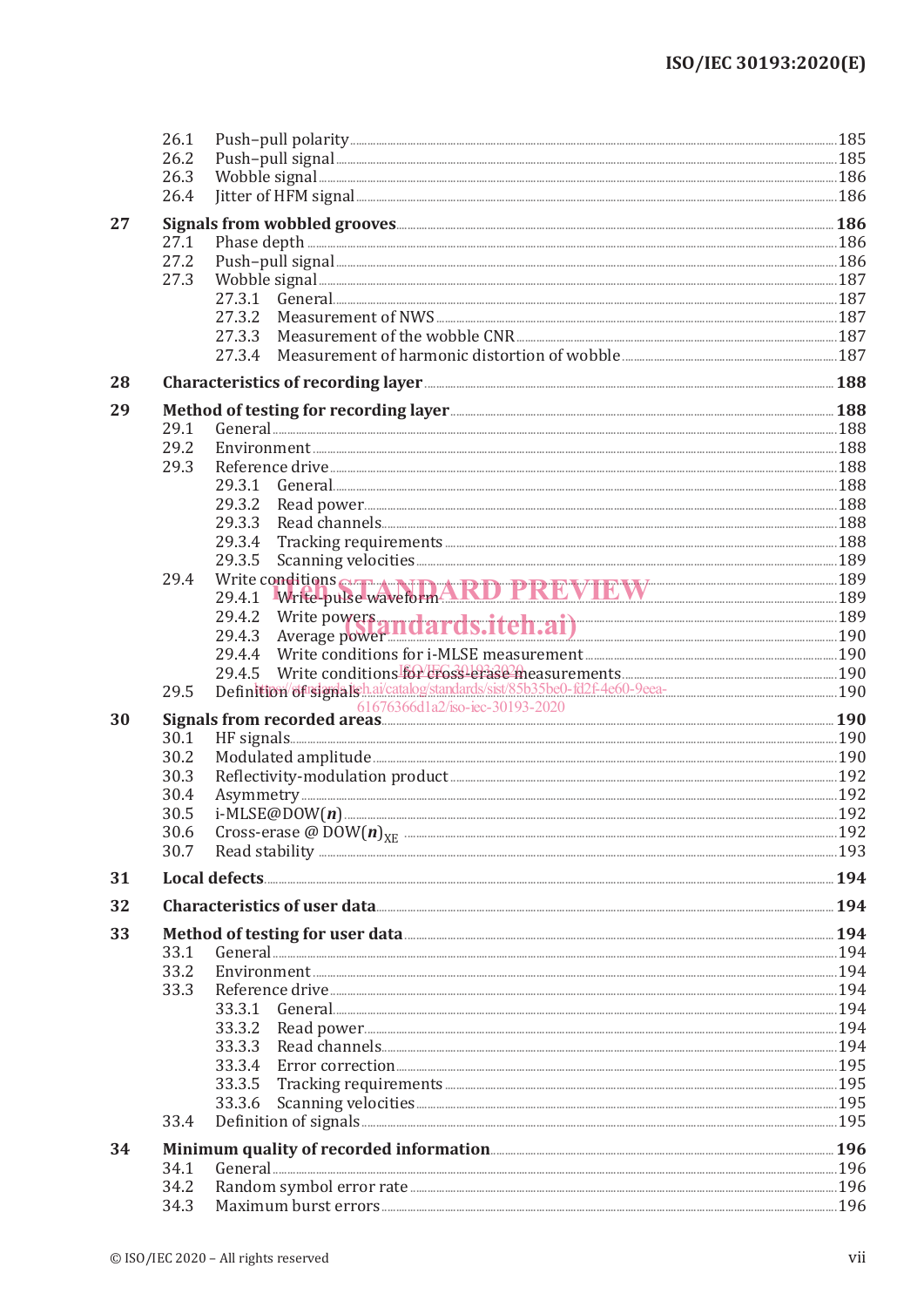|    | 26.1         |                                                                                                                                                                                                                                |     |
|----|--------------|--------------------------------------------------------------------------------------------------------------------------------------------------------------------------------------------------------------------------------|-----|
|    | 26.2         |                                                                                                                                                                                                                                |     |
|    | 26.3         |                                                                                                                                                                                                                                |     |
|    | 26.4         | Jitter of HFM signal                                                                                                                                                                                                           |     |
| 27 |              |                                                                                                                                                                                                                                |     |
|    | 27.1         |                                                                                                                                                                                                                                |     |
|    | 27.2         |                                                                                                                                                                                                                                |     |
|    | 27.3         |                                                                                                                                                                                                                                |     |
|    |              | 27.3.1                                                                                                                                                                                                                         |     |
|    |              | 27.3.2                                                                                                                                                                                                                         |     |
|    |              | 27.3.3<br>27.3.4                                                                                                                                                                                                               |     |
| 28 |              | Characteristics of recording layer <b>Engineering</b> 188                                                                                                                                                                      |     |
|    |              |                                                                                                                                                                                                                                |     |
| 29 |              | Method of testing for recording layer <b>Mathematical Engineering Laware</b> 188                                                                                                                                               |     |
|    | 29.1<br>29.2 |                                                                                                                                                                                                                                |     |
|    | 29.3         |                                                                                                                                                                                                                                |     |
|    |              | 29.3.1                                                                                                                                                                                                                         |     |
|    |              | 29.3.2                                                                                                                                                                                                                         |     |
|    |              | 29.3.3                                                                                                                                                                                                                         |     |
|    |              | 29.3.4                                                                                                                                                                                                                         |     |
|    |              | 29.3.5                                                                                                                                                                                                                         |     |
|    | 29.4         | Write conditions<br>29.4.1 Write-pulse waveform<br>ARD PREVIEW 189                                                                                                                                                             |     |
|    |              |                                                                                                                                                                                                                                |     |
|    |              | 29.4.2<br>Write powers<br>Average power <b>Indianal State Division 189</b><br>190                                                                                                                                              |     |
|    |              | 29.4.3                                                                                                                                                                                                                         |     |
|    |              | 29.4.4                                                                                                                                                                                                                         |     |
|    | 29.5         | 29.4.5<br>Definition/of signalsh.ai/catalog/standards/sist/85b35be0-fd2f-4e60-9eea-                                                                                                                                            |     |
|    |              |                                                                                                                                                                                                                                |     |
| 30 |              |                                                                                                                                                                                                                                |     |
|    | 30.1         |                                                                                                                                                                                                                                |     |
|    | 30.2         |                                                                                                                                                                                                                                |     |
|    | 30.3         |                                                                                                                                                                                                                                |     |
|    | 30.4<br>30.5 |                                                                                                                                                                                                                                | 192 |
|    | 30.6         |                                                                                                                                                                                                                                |     |
|    | 30.7         |                                                                                                                                                                                                                                |     |
| 31 |              |                                                                                                                                                                                                                                |     |
| 32 |              |                                                                                                                                                                                                                                |     |
|    |              |                                                                                                                                                                                                                                |     |
| 33 | 33.1         | General 294 million and the contract of the contract of the contract of the contract of the contract of the contract of the contract of the contract of the contract of the contract of the contract of the contract of the co |     |
|    | 33.2         |                                                                                                                                                                                                                                |     |
|    | 33.3         |                                                                                                                                                                                                                                |     |
|    |              | 33.3.1                                                                                                                                                                                                                         |     |
|    |              | 33.3.2                                                                                                                                                                                                                         |     |
|    |              | 33.3.3                                                                                                                                                                                                                         |     |
|    |              | 33.3.4                                                                                                                                                                                                                         |     |
|    |              | 33.3.5                                                                                                                                                                                                                         |     |
|    |              |                                                                                                                                                                                                                                |     |
|    | 33.4         |                                                                                                                                                                                                                                |     |
| 34 |              |                                                                                                                                                                                                                                |     |
|    | 34.1         | General 296                                                                                                                                                                                                                    |     |
|    | 34.2         |                                                                                                                                                                                                                                |     |
|    | 34.3         |                                                                                                                                                                                                                                |     |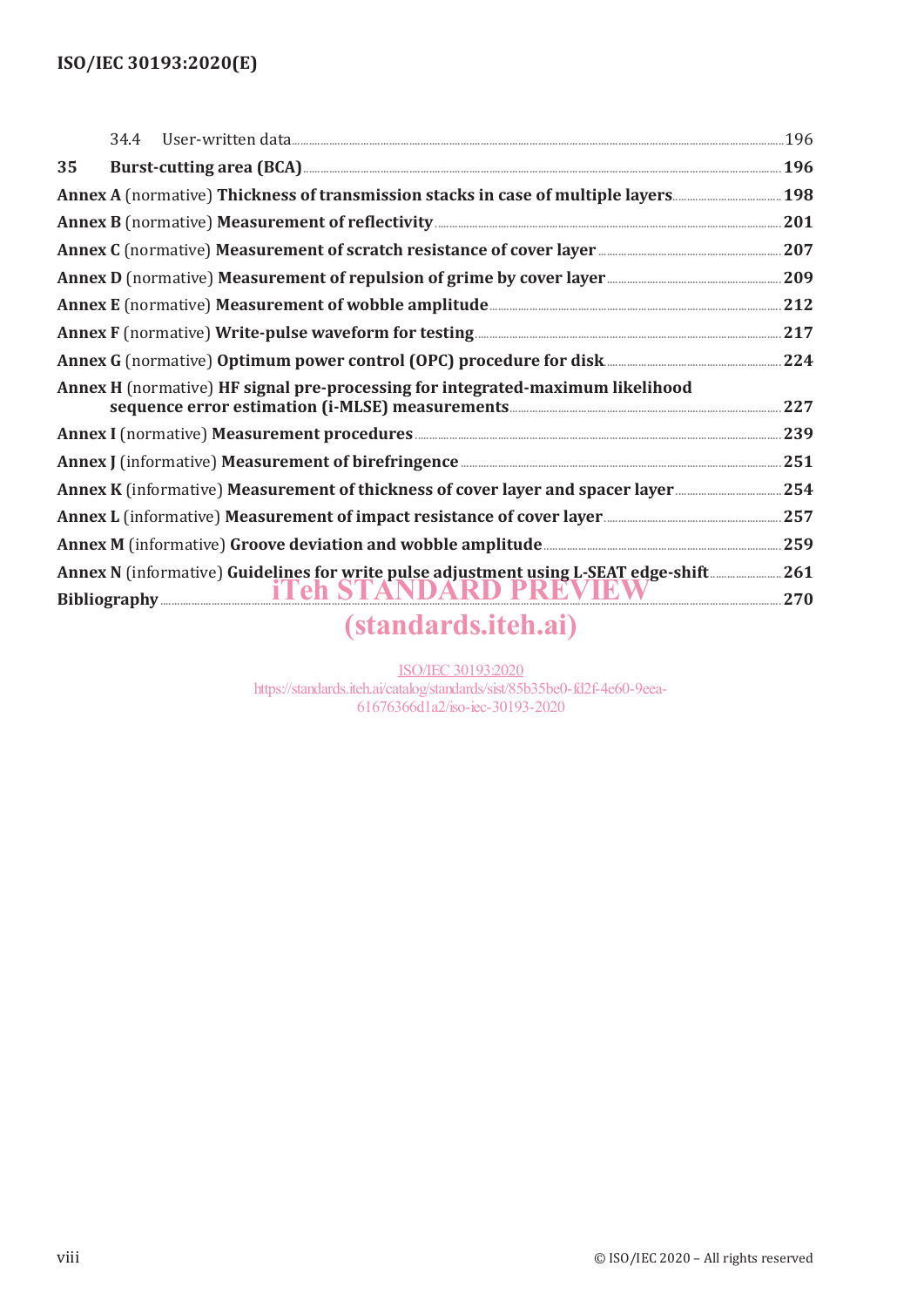| 34.4                                                                                                                         |  |
|------------------------------------------------------------------------------------------------------------------------------|--|
| 35                                                                                                                           |  |
|                                                                                                                              |  |
| Annex B (normative) Measurement of reflectivity <b>Engineerance and Section</b> 201                                          |  |
| Annex C (normative) Measurement of scratch resistance of cover layer <b>Manual Community</b> 207                             |  |
|                                                                                                                              |  |
|                                                                                                                              |  |
| Annex F (normative) Write-pulse waveform for testing <b>Example 2017</b>                                                     |  |
| Annex G (normative) Optimum power control (OPC) procedure for disk                                                           |  |
| Annex H (normative) HF signal pre-processing for integrated-maximum likelihood                                               |  |
| Annex I (normative) Measurement procedures <b>Manual Annex I</b> (normative) Measurement procedures <b>Manual Annex I</b> (1 |  |
| Annex J (informative) Measurement of birefringence <b>Manual Annex J</b> (informative) 251                                   |  |
|                                                                                                                              |  |
|                                                                                                                              |  |
| Annex M (informative) Groove deviation and wobble amplitude <b>meeting of the COV</b> 259                                    |  |
| Annex N (informative) Guidelines for write pulse adjustment using L-SEAT edge-shift 261<br>Bibliography 270                  |  |
| <i>(standards itah ai)</i>                                                                                                   |  |

# (standards.iteh.ai)

ISO/IEC 30193:2020 https://standards.iteh.ai/catalog/standards/sist/85b35be0-fd2f-4e60-9eea-61676366d1a2/iso-iec-30193-2020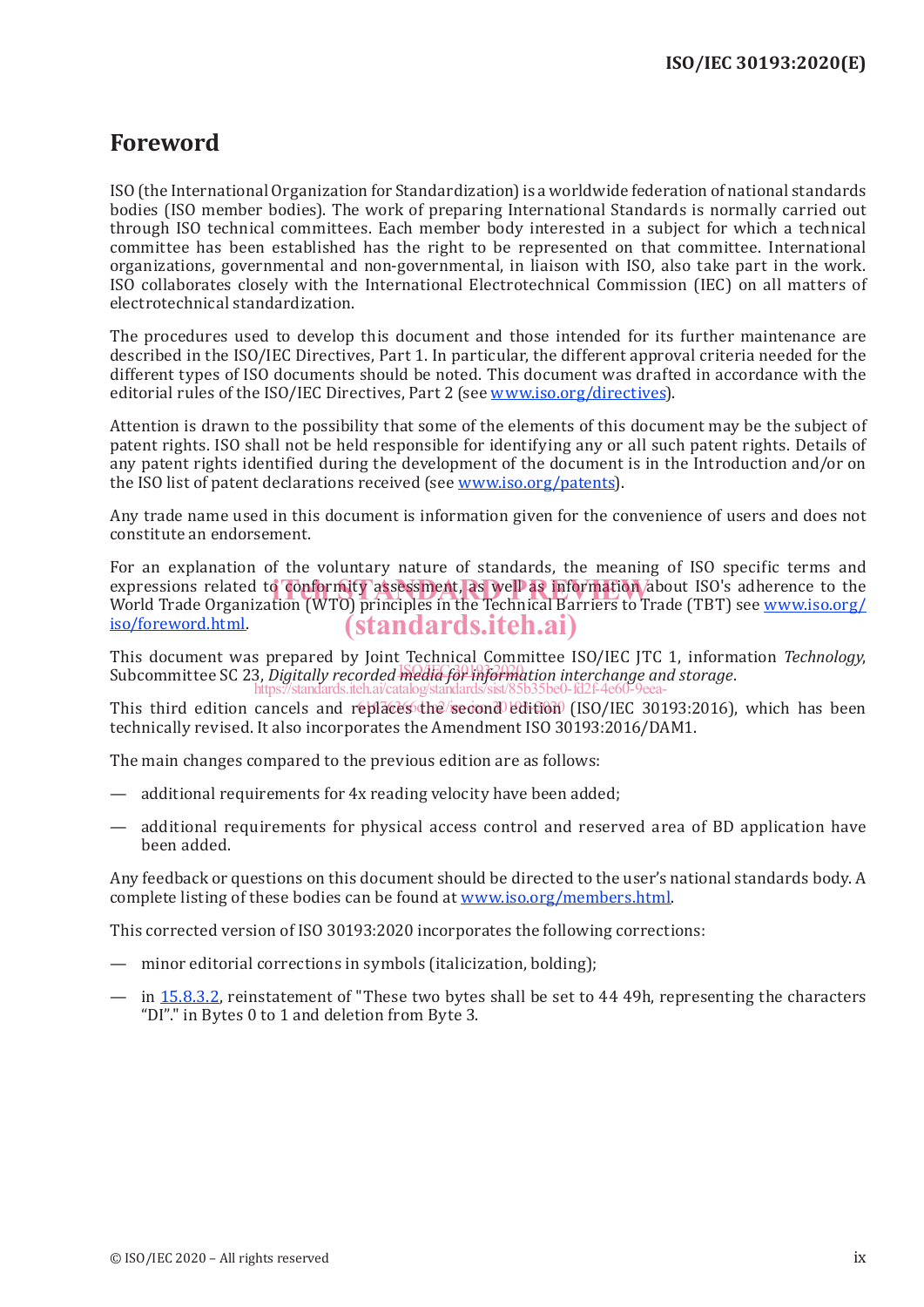# **Foreword**

ISO (the International Organization for Standardization) is a worldwide federation of national standards bodies (ISO member bodies). The work of preparing International Standards is normally carried out through ISO technical committees. Each member body interested in a subject for which a technical committee has been established has the right to be represented on that committee. International organizations, governmental and non-governmental, in liaison with ISO, also take part in the work. ISO collaborates closely with the International Electrotechnical Commission (IEC) on all matters of electrotechnical standardization.

The procedures used to develop this document and those intended for its further maintenance are described in the ISO/IEC Directives, Part 1. In particular, the different approval criteria needed for the different types of ISO documents should be noted. This document was drafted in accordance with the editorial rules of the ISO/IEC Directives, Part 2 (see www.iso.org/directives).

Attention is drawn to the possibility that some of the elements of this document may be the subject of patent rights. ISO shall not be held responsible for identifying any or all such patent rights. Details of any patent rights identified during the development of the document is in the Introduction and/or on the ISO list of patent declarations received (see www.iso.org/patents).

Any trade name used in this document is information given for the convenience of users and does not constitute an endorsement.

For an explanation of the voluntary nature of standards, the meaning of ISO specific terms and expressions related to conformity assessment, as well as information about ISO's adherence to the expressions or  $\ell$ World Trade Organization (WTO) principles in the Technical Barriers to Trade (TBT) see www.iso.org/ iso/foreword.html. (standards.iteh.ai)

This document was prepared by Joint Technical Committee ISO/IEC JTC 1, information *Technology*, Interaction was properted by corded media for information interchange and storage. standards.iteh.ai/catalog/st

This third edition cancels and replaces the second edition (ISO/IEC 30193:2016), which has been technically revised. It also incorporates the Amendment ISO 30193:2016/DAM1.

The main changes compared to the previous edition are as follows:

- additional requirements for 4x reading velocity have been added;
- additional requirements for physical access control and reserved area of BD application have been added.

Any feedback or questions on this document should be directed to the user's national standards body. A complete listing of these bodies can be found at www.iso.org/members.html.

This corrected version of ISO 30193:2020 incorporates the following corrections:

- minor editorial corrections in symbols (italicization, bolding);
- in 15.8.3.2, reinstatement of "These two bytes shall be set to 44 49h, representing the characters "DI"." in Bytes 0 to 1 and deletion from Byte 3.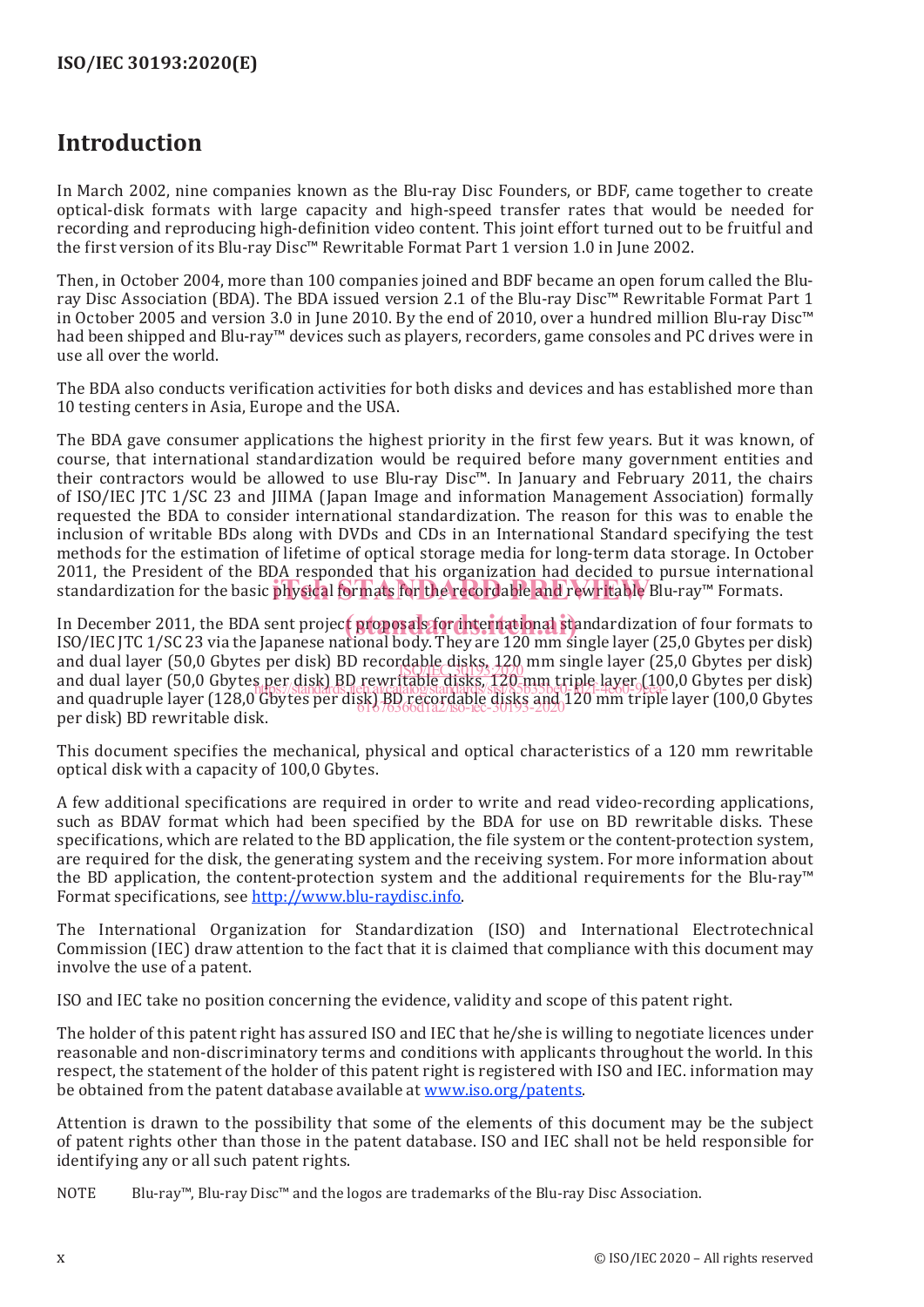# **Introduction**

In March 2002, nine companies known as the Blu-ray Disc Founders, or BDF, came together to create optical-disk formats with large capacity and high-speed transfer rates that would be needed for recording and reproducing high-definition video content. This joint effort turned out to be fruitful and the first version of its Blu-ray Disc™ Rewritable Format Part 1 version 1.0 in June 2002.

Then, in October 2004, more than 100 companies joined and BDF became an open forum called the Bluray Disc Association (BDA). The BDA issued version 2.1 of the Blu-ray Disc™ Rewritable Format Part 1 in October 2005 and version 3.0 in June 2010. By the end of 2010, over a hundred million Blu-ray Disc™ had been shipped and Blu-ray™ devices such as players, recorders, game consoles and PC drives were in use all over the world.

The BDA also conducts verification activities for both disks and devices and has established more than 10 testing centers in Asia, Europe and the USA.

The BDA gave consumer applications the highest priority in the first few years. But it was known, of course, that international standardization would be required before many government entities and their contractors would be allowed to use Blu-ray Disc™. In January and February 2011, the chairs of ISO/IEC JTC 1/SC 23 and JIIMA (Japan Image and information Management Association) formally requested the BDA to consider international standardization. The reason for this was to enable the inclusion of writable BDs along with DVDs and CDs in an International Standard specifying the test methods for the estimation of lifetime of optical storage media for long-term data storage. In October 2011, the President of the BDA responded that his organization had decided to pursue international 2011, the Tresident of the BBA responded that ins organization had decided to parsue international standardization for the basic **physical formats** for the recordable and rewritable Blu-ray™ Formats.

In December 2011, the BDA sent project proposals for thremational standardization of four formats to<br>ISO (IEC ITC 1/SC 22 via the Japanese national hody They are 120 mm single layer (25.0 Chytes ner disk) ISO/IEC JTC 1/SC 23 via the Japanese national body. They are 120 mm single layer (25,0 Gbytes per disk) and dual layer (50,0 Gbytes per disk) BD recordable disks, 120 mm single layer (25,0 Gbytes per disk) and dual layer (50,0 Gbytes per disk) BD rewritable disks, 120 mm triple layer (100,0 Gbytes per disk) and quadruple layer (128,0 Gbytes per disk) BD recordable disks and 120 mm triple layer (100,0 Gbytes 61676366d1a2/iso-iec-30193-2020per disk) BD rewritable disk.  $150/15C$  30193:2620 https://standards.iteh.ai/catalog/standards/sist/85b35be0-fd2f-4e60-9eea-

This document specifies the mechanical, physical and optical characteristics of a 120 mm rewritable optical disk with a capacity of 100,0 Gbytes.

A few additional specifications are required in order to write and read video-recording applications, such as BDAV format which had been specified by the BDA for use on BD rewritable disks. These specifications, which are related to the BD application, the file system or the content-protection system, are required for the disk, the generating system and the receiving system. For more information about the BD application, the content-protection system and the additional requirements for the Blu-ray™ Format specifications, see http://www.blu-raydisc.info.

The International Organization for Standardization (ISO) and International Electrotechnical Commission (IEC) draw attention to the fact that it is claimed that compliance with this document may involve the use of a patent.

ISO and IEC take no position concerning the evidence, validity and scope of this patent right.

The holder of this patent right has assured ISO and IEC that he/she is willing to negotiate licences under reasonable and non-discriminatory terms and conditions with applicants throughout the world. In this respect, the statement of the holder of this patent right is registered with ISO and IEC. information may be obtained from the patent database available at www.iso.org/patents.

Attention is drawn to the possibility that some of the elements of this document may be the subject of patent rights other than those in the patent database. ISO and IEC shall not be held responsible for identifying any or all such patent rights.

NOTE Blu-ray™, Blu-ray Disc™ and the logos are trademarks of the Blu-ray Disc Association.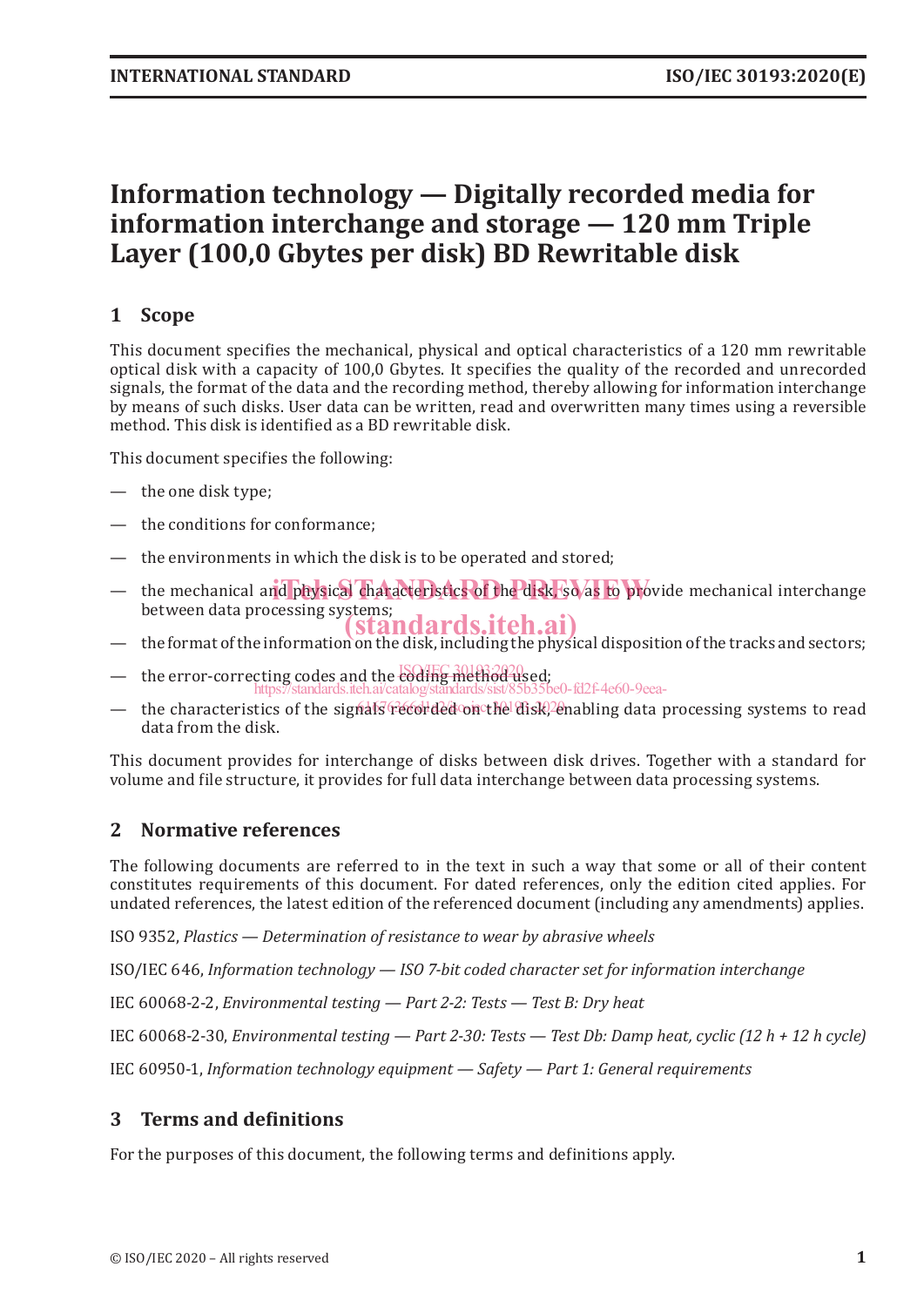# **Information technology — Digitally recorded media for information interchange and storage — 120 mm Triple Layer (100,0 Gbytes per disk) BD Rewritable disk**

## **1 Scope**

This document specifies the mechanical, physical and optical characteristics of a 120 mm rewritable optical disk with a capacity of 100,0 Gbytes. It specifies the quality of the recorded and unrecorded signals, the format of the data and the recording method, thereby allowing for information interchange by means of such disks. User data can be written, read and overwritten many times using a reversible method. This disk is identified as a BD rewritable disk.

This document specifies the following:

- the one disk type;
- the conditions for conformance;
- the environments in which the disk is to be operated and stored;
- the mechanical and physical characteristics of the disk, so as to provide mechanical interchange between data processing systems; (standards.iteh.ai)
- the format of the information on the disk, including the physical disposition of the tracks and sectors;
- the error-correcting codes and the  $\frac{1}{2}$  method used; https://standards.iteh.ai/catalog/standards/sist/85b35be0-fd2f-4e60-9eea-
- the characteristics of the signals recorded on the disk, 2 enabling data processing systems to read data from the disk.

This document provides for interchange of disks between disk drives. Together with a standard for volume and file structure, it provides for full data interchange between data processing systems.

## **2 Normative references**

The following documents are referred to in the text in such a way that some or all of their content constitutes requirements of this document. For dated references, only the edition cited applies. For undated references, the latest edition of the referenced document (including any amendments) applies.

ISO 9352, *Plastics — Determination of resistance to wear by abrasive wheels*

ISO/IEC 646, *Information technology — ISO 7-bit coded character set for information interchange*

IEC 60068-2-2, *Environmental testing — Part 2-2: Tests — Test B: Dry heat*

IEC 60068-2-30, *Environmental testing — Part 2-30: Tests — Test Db: Damp heat, cyclic (12 h + 12 h cycle)*

IEC 60950-1, *Information technology equipment — Safety — Part 1: General requirements*

## **3 Terms and definitions**

For the purposes of this document, the following terms and definitions apply.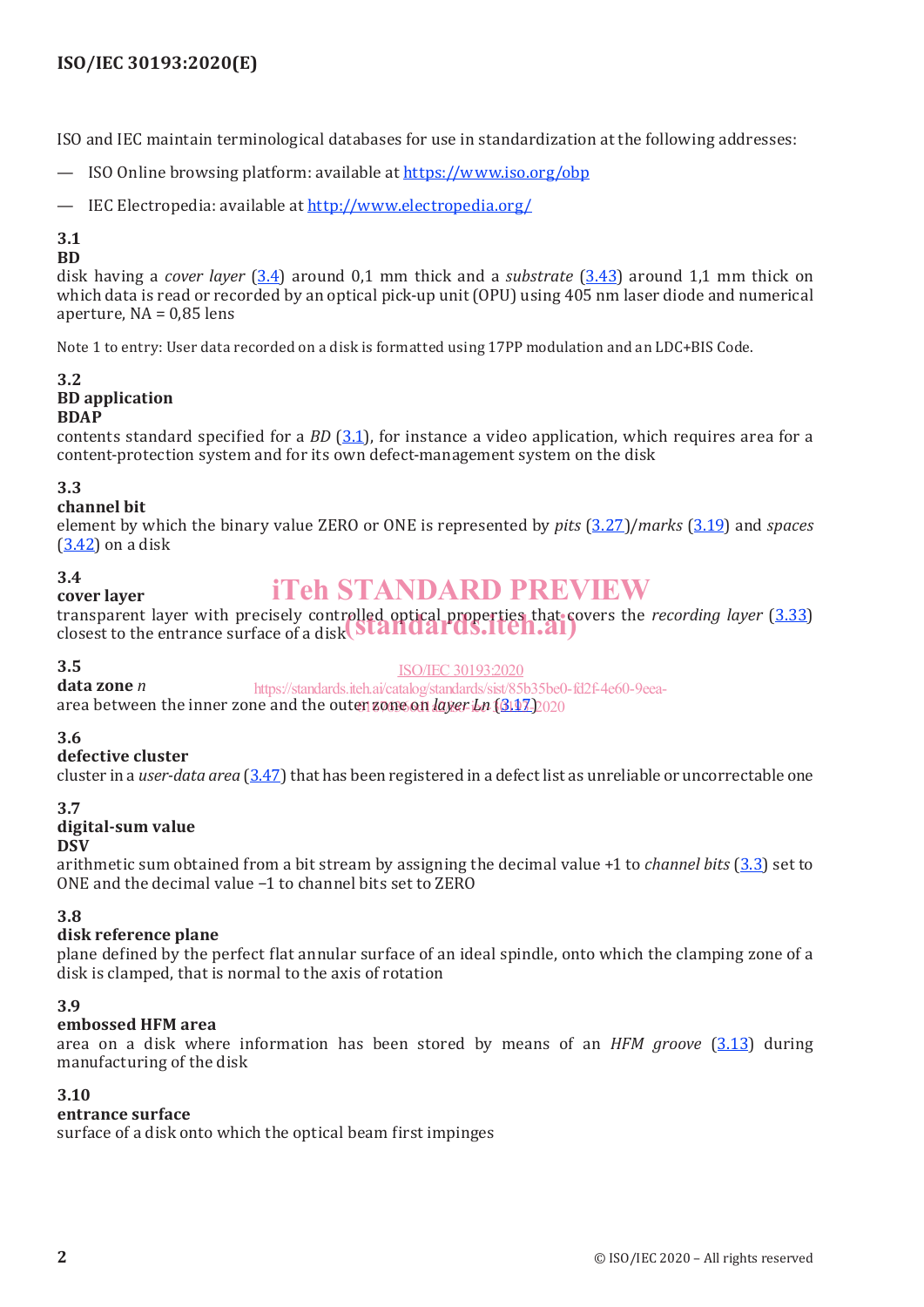## **ISO/IEC 30193:2020(E)**

ISO and IEC maintain terminological databases for use in standardization at the following addresses:

- ISO Online browsing platform: available at https://www.iso.org/obp
- IEC Electropedia: available at http://www.electropedia.org/

#### **3.1**

#### **BD**

disk having a *cover layer* (3.4) around 0,1 mm thick and a *substrate* (3.43) around 1,1 mm thick on which data is read or recorded by an optical pick-up unit (OPU) using 405 nm laser diode and numerical aperture, NA = 0,85 lens

Note 1 to entry: User data recorded on a disk is formatted using 17PP modulation and an LDC+BIS Code.

# **3.2**

# **BD application**

## **BDAP**

contents standard specified for a *BD* (3.1), for instance a video application, which requires area for a content-protection system and for its own defect-management system on the disk

#### **3.3**

#### **channel bit**

element by which the binary value ZERO or ONE is represented by *pits* (3.27)/*marks* (3.19) and *spaces*  $(3.42)$  on a disk

#### **3.4**

#### **cover layer**

# iTeh STANDARD PREVIEW

transparent layer with precisely controlled optical properties that covers the *recording layer* (3.33) transparent layer with precisely controlled optical properties that co<br>closest to the entrance surface of a disk **Standards.iten.ai**)

#### **3.5**

**data zone** *n* area between the inner zone and the oute<u>n zone on *layer Ln* (3147-) 020</u> ISO/IEC 30193:2020 https://standards.iteh.ai/catalog/standards/sist/85b35be0-fd2f-4e60-9eea-

#### **3.6**

#### **defective cluster**

cluster in a *user-data area* (3.47) that has been registered in a defect list as unreliable or uncorrectable one

#### **3.7**

#### **digital-sum value**

#### **DSV**

arithmetic sum obtained from a bit stream by assigning the decimal value +1 to *channel bits* (3.3) set to ONE and the decimal value −1 to channel bits set to ZERO

#### **3.8**

#### **disk reference plane**

plane defined by the perfect flat annular surface of an ideal spindle, onto which the clamping zone of a disk is clamped, that is normal to the axis of rotation

#### **3.9**

#### **embossed HFM area**

area on a disk where information has been stored by means of an *HFM groove* (3.13) during manufacturing of the disk

#### **3.10**

#### **entrance surface**

surface of a disk onto which the optical beam first impinges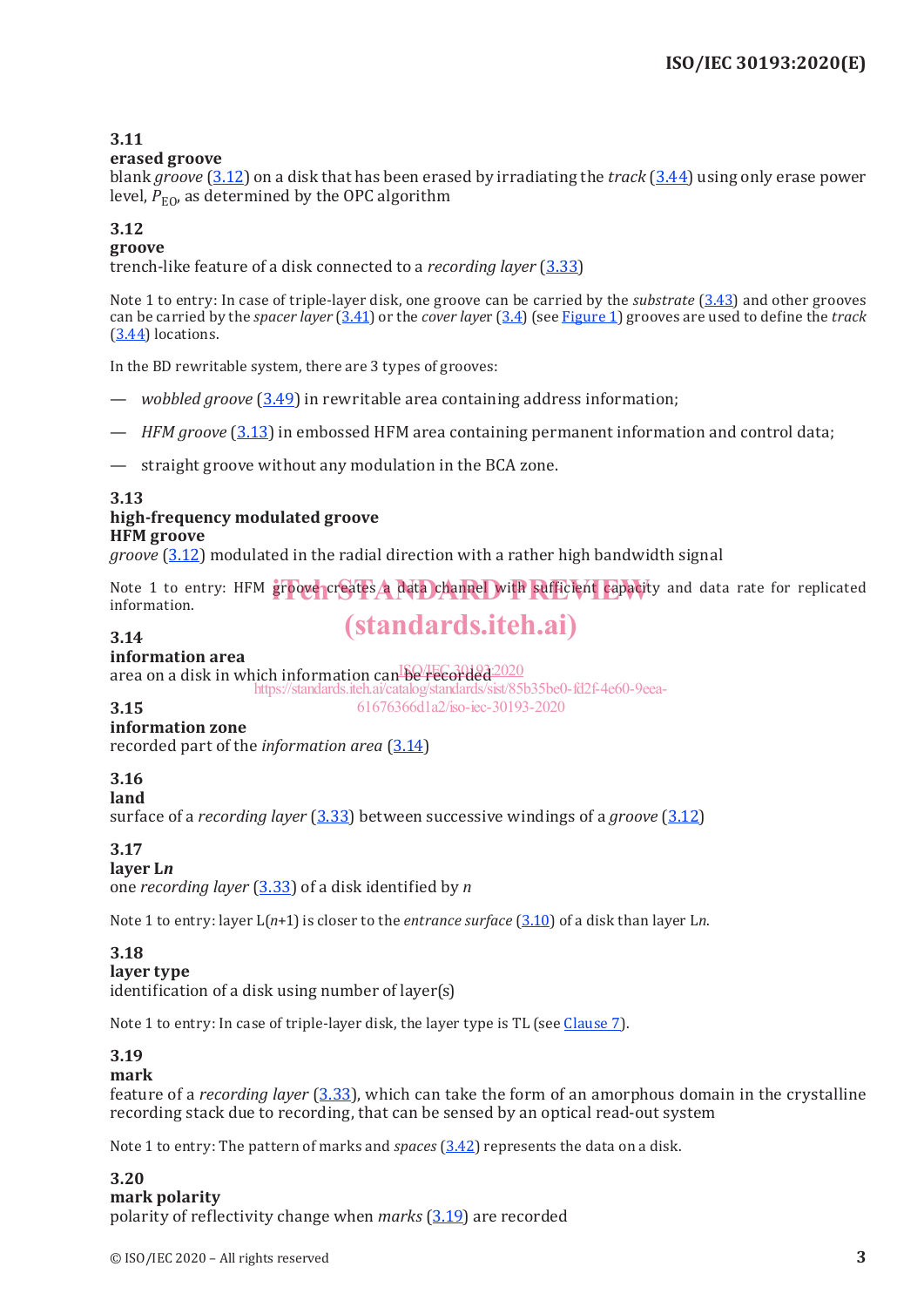### **3.11**

#### **erased groove**

blank *groove* (3.12) on a disk that has been erased by irradiating the *track* (3.44) using only erase power level,  $P_{\text{EO}}$  as determined by the OPC algorithm

#### **3.12**

#### **groove**

trench-like feature of a disk connected to a *recording layer* (3.33)

Note 1 to entry: In case of triple-layer disk, one groove can be carried by the *substrate* (3.43) and other grooves can be carried by the *spacer layer* (3.41) or the *cover laye*r (3.4) (see Figure 1) grooves are used to define the *track* (3.44) locations.

In the BD rewritable system, there are 3 types of grooves:

- *wobbled groove* (3.49) in rewritable area containing address information;
- *HFM groove* (3.13) in embossed HFM area containing permanent information and control data;

— straight groove without any modulation in the BCA zone.

#### **3.13**

# **high-frequency modulated groove**

#### **HFM groove**

*groove* (3.12) modulated in the radial direction with a rather high bandwidth signal

Note 1 to entry: HFM groove creates a data channel with sufficient capacity and data rate for replicated<br>information information.

#### **3.14**

# (standards.iteh.ai)

61676366d1a2/iso-iec-30193-2020

#### **information area**

area on a disk in which information can  $\frac{16}{6}$  Fec 30193, 2020

https://standards.iteh.ai/catalog/standards/sist/85b35be0-fd2f-4e60-9eea-

### **3.15**

**information zone** recorded part of the *information area* (3.14)

### **3.16**

#### **land**

surface of a *recording layer* (3.33) between successive windings of a *groove* (3.12)

### **3.17**

**layer L***n* one *recording layer* (3.33) of a disk identified by *n*

Note 1 to entry: layer L(*n*+1) is closer to the *entrance surface* (3.10) of a disk than layer L*n*.

#### **3.18**

#### **layer type**

identification of a disk using number of layer(s)

Note 1 to entry: In case of triple-layer disk, the layer type is TL (see Clause 7).

### **3.19**

#### **mark**

feature of a *recording layer* (3.33), which can take the form of an amorphous domain in the crystalline recording stack due to recording, that can be sensed by an optical read-out system

Note 1 to entry: The pattern of marks and *spaces* (3.42) represents the data on a disk.

#### **3.20 mark polarity** polarity of reflectivity change when *marks* (3.19) are recorded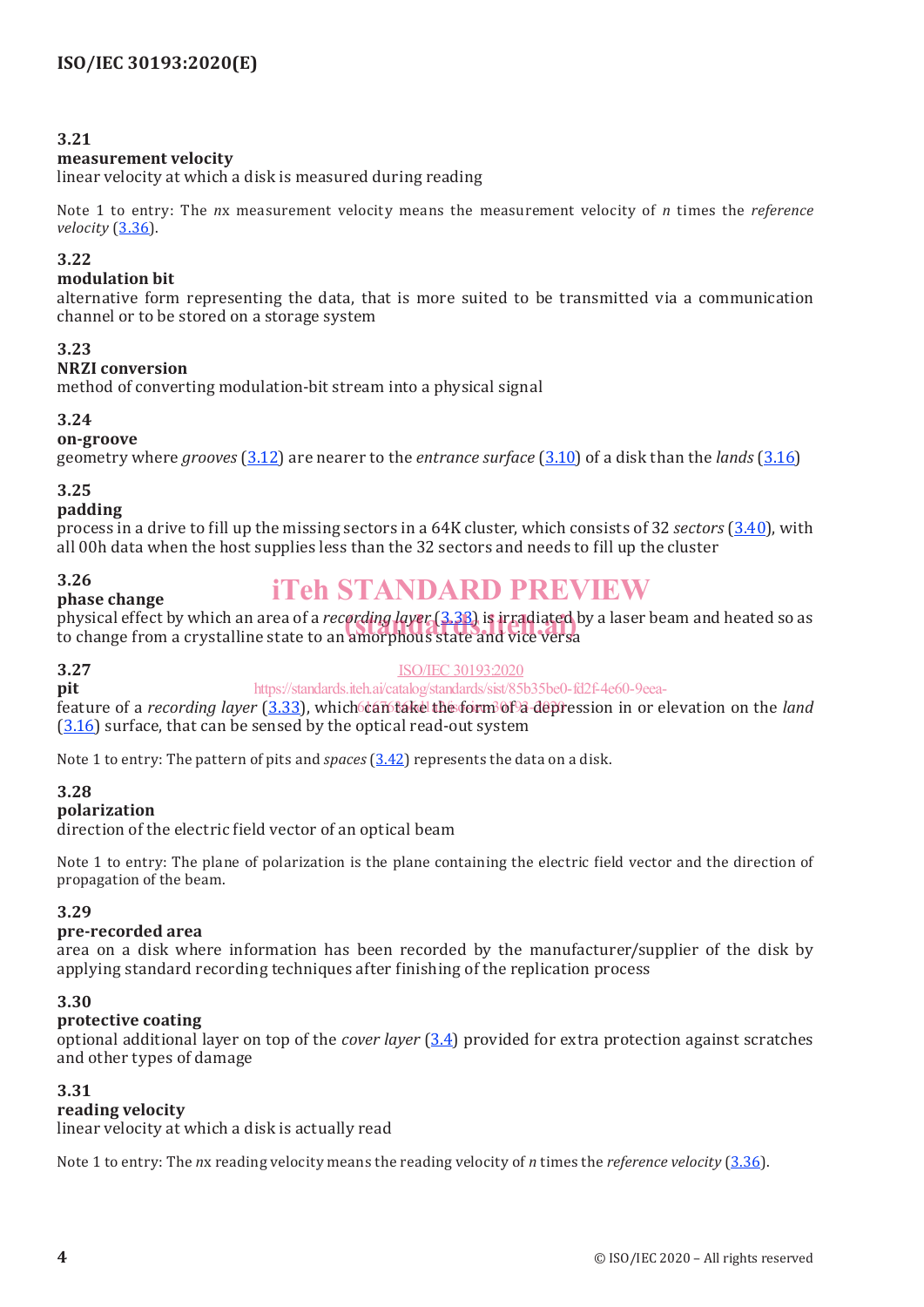#### **3.21**

#### **measurement velocity**

linear velocity at which a disk is measured during reading

Note 1 to entry: The *n*x measurement velocity means the measurement velocity of *n* times the *reference velocity* (3.36).

#### **3.22**

#### **modulation bit**

alternative form representing the data, that is more suited to be transmitted via a communication channel or to be stored on a storage system

#### **3.23**

#### **NRZI conversion**

method of converting modulation-bit stream into a physical signal

#### **3.24**

#### **on-groove**

geometry where *grooves* (3.12) are nearer to the *entrance surface* (3.10) of a disk than the *lands* (3.16)

#### **3.25**

#### **padding**

process in a drive to fill up the missing sectors in a 64K cluster, which consists of 32 *sectors* (3.40), with all 00h data when the host supplies less than the 32 sectors and needs to fill up the cluster

#### **3.26**

#### **phase change**

# iTeh STANDARD PREVIEW

physical effect by which an area of a *recording layer* (3.38) is irradiated by a laser beam and heated so as<br>to change from a crystalline state to an amorphous state and vice versa to change from a crystalline state to an amorphous state and vice versa

#### **3.27 pit**

### ISO/IEC 30193:2020

https://standards.iteh.ai/catalog/standards/sist/85b35be0-fd2f-4e60-9eea-

feature of a *recording layer* (<u>3.33),</u> which can take the form of a depression in or elevation on the *land* (3.16) surface, that can be sensed by the optical read-out system

Note 1 to entry: The pattern of pits and *spaces* (3.42) represents the data on a disk.

#### **3.28**

#### **polarization**

direction of the electric field vector of an optical beam

Note 1 to entry: The plane of polarization is the plane containing the electric field vector and the direction of propagation of the beam.

#### **3.29**

#### **pre-recorded area**

area on a disk where information has been recorded by the manufacturer/supplier of the disk by applying standard recording techniques after finishing of the replication process

#### **3.30**

#### **protective coating**

optional additional layer on top of the *cover layer* (3.4) provided for extra protection against scratches and other types of damage

#### **3.31**

#### **reading velocity**

linear velocity at which a disk is actually read

Note 1 to entry: The *n*x reading velocity means the reading velocity of *n* times the *reference velocity* (3.36).